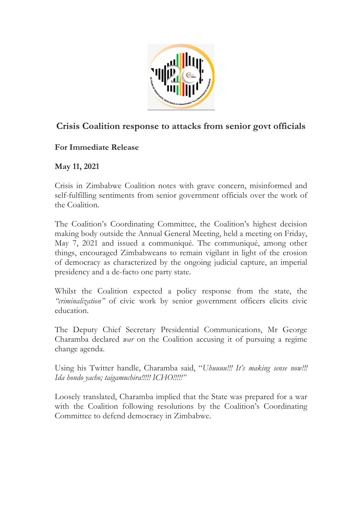

## **Crisis Coalition response to attacks from senior govt officials**

## **For Immediate Release**

## **May 11, 2021**

Crisis in Zimbabwe Coalition notes with grave concern, misinformed and self-fulfilling sentiments from senior government officials over the work of the Coalition.

The Coalition's Coordinating Committee, the Coalition's highest decision making body outside the Annual General Meeting, held a meeting on Friday, May 7, 2021 and issued a communiqué. The communiqué, among other things, encouraged Zimbabweans to remain vigilant in light of the erosion of democracy as characterized by the ongoing judicial capture, an imperial presidency and a de-facto one party state.

Whilst the Coalition expected a policy response from the state, the *"criminalization"* of civic work by senior government officers elicits civic education.

The Deputy Chief Secretary Presidential Communications, Mr George Charamba declared *war* on the Coalition accusing it of pursuing a regime change agenda.

Using his Twitter handle, Charamba said, "*Uhuuuu!!! It's making sense now!!! Ida hondo yacho; taigamuchira!!!!! ICHO!!!!!"*

Loosely translated, Charamba implied that the State was prepared for a war with the Coalition following resolutions by the Coalition's Coordinating Committee to defend democracy in Zimbabwe.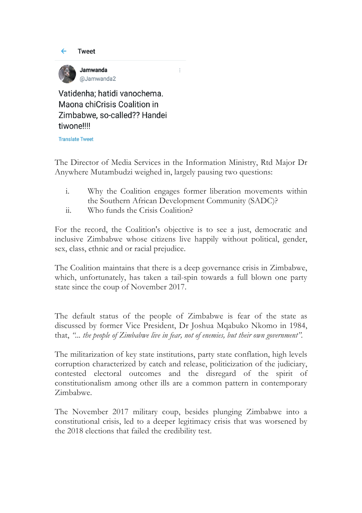



Vatidenha: hatidi vanochema. Maona chiCrisis Coalition in Zimbabwe, so-called?? Handei tiwone!!!!

**Translate Tweet** 

The Director of Media Services in the Information Ministry, Rtd Major Dr Anywhere Mutambudzi weighed in, largely pausing two questions:

 $\ddot{\ddot{\cdot}}$ 

- i. Why the Coalition engages former liberation movements within the Southern African Development Community (SADC)?
- ii. Who funds the Crisis Coalition?

For the record, the Coalition's objective is to see a just, democratic and inclusive Zimbabwe whose citizens live happily without political, gender, sex, class, ethnic and or racial prejudice.

The Coalition maintains that there is a deep governance crisis in Zimbabwe, which, unfortunately, has taken a tail-spin towards a full blown one party state since the coup of November 2017.

The default status of the people of Zimbabwe is fear of the state as discussed by former Vice President, Dr Joshua Mqabuko Nkomo in 1984, that, *"... the people of Zimbabwe live in fear, not of enemies, but their own government".*

The militarization of key state institutions, party state conflation, high levels corruption characterized by catch and release, politicization of the judiciary, contested electoral outcomes and the disregard of the spirit of constitutionalism among other ills are a common pattern in contemporary Zimbabwe.

The November 2017 military coup, besides plunging Zimbabwe into a constitutional crisis, led to a deeper legitimacy crisis that was worsened by the 2018 elections that failed the credibility test.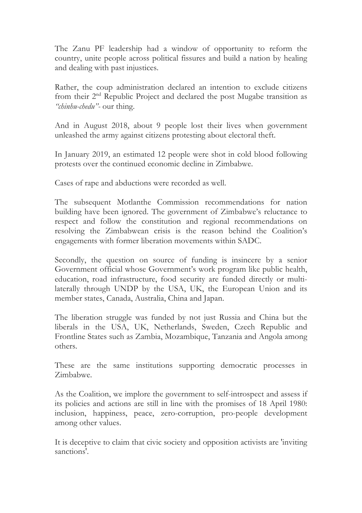The Zanu PF leadership had a window of opportunity to reform the country, unite people across political fissures and build a nation by healing and dealing with past injustices.

Rather, the coup administration declared an intention to exclude citizens from their  $2<sup>nd</sup>$  Republic Project and declared the post Mugabe transition as *"chinhu-chedu"-* our thing.

And in August 2018, about 9 people lost their lives when government unleashed the army against citizens protesting about electoral theft.

In January 2019, an estimated 12 people were shot in cold blood following protests over the continued economic decline in Zimbabwe.

Cases of rape and abductions were recorded as well.

The subsequent Motlanthe Commission recommendations for nation building have been ignored. The government of Zimbabwe's reluctance to respect and follow the constitution and regional recommendations on resolving the Zimbabwean crisis is the reason behind the Coalition's engagements with former liberation movements within SADC.

Secondly, the question on source of funding is insincere by a senior Government official whose Government's work program like public health, education, road infrastructure, food security are funded directly or multilaterally through UNDP by the USA, UK, the European Union and its member states, Canada, Australia, China and Japan.

The liberation struggle was funded by not just Russia and China but the liberals in the USA, UK, Netherlands, Sweden, Czech Republic and Frontline States such as Zambia, Mozambique, Tanzania and Angola among others.

These are the same institutions supporting democratic processes in Zimbabwe.

As the Coalition, we implore the government to self-introspect and assess if its policies and actions are still in line with the promises of 18 April 1980: inclusion, happiness, peace, zero-corruption, pro-people development among other values.

It is deceptive to claim that civic society and opposition activists are 'inviting sanctions'.